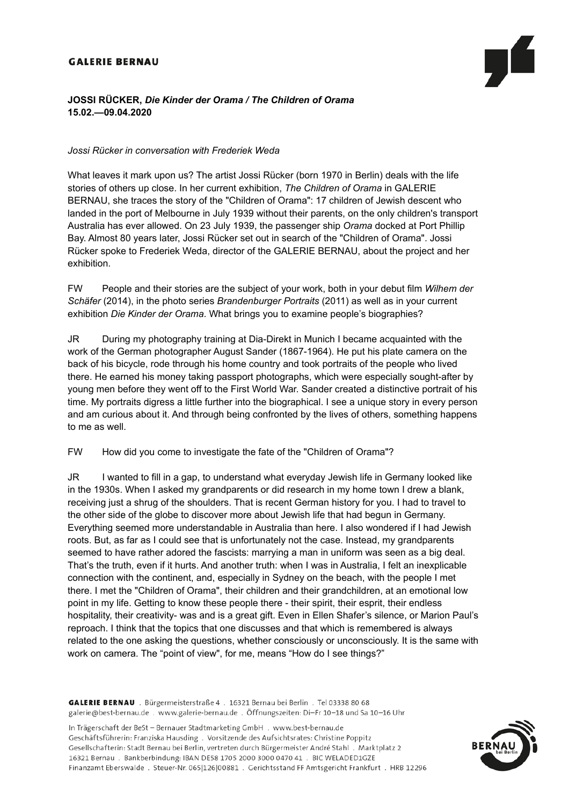### **GALERIE BERNAU**

# **JOSSI RÜCKER,** *Die Kinder der Orama / The Children of Orama*  **15.02.—09.04.2020**

#### *Jossi Rücker in conversation with Frederiek Weda*

What leaves it mark upon us? The artist Jossi Rücker (born 1970 in Berlin) deals with the life stories of others up close. In her current exhibition, *The Children of Orama* in GALERIE BERNAU, she traces the story of the "Children of Orama": 17 children of Jewish descent who landed in the port of Melbourne in July 1939 without their parents, on the only children's transport Australia has ever allowed. On 23 July 1939, the passenger ship *Orama* docked at Port Phillip Bay. Almost 80 years later, Jossi Rücker set out in search of the "Children of Orama". Jossi Rücker spoke to Frederiek Weda, director of the GALERIE BERNAU, about the project and her exhibition.

FW People and their stories are the subject of your work, both in your debut film *Wilhem der Schäfer* (2014), in the photo series *Brandenburger Portraits* (2011) as well as in your current exhibition *Die Kinder der Orama*. What brings you to examine people's biographies?

JR During my photography training at Dia-Direkt in Munich I became acquainted with the work of the German photographer August Sander (1867-1964). He put his plate camera on the back of his bicycle, rode through his home country and took portraits of the people who lived there. He earned his money taking passport photographs, which were especially sought-after by young men before they went off to the First World War. Sander created a distinctive portrait of his time. My portraits digress a little further into the biographical. I see a unique story in every person and am curious about it. And through being confronted by the lives of others, something happens to me as well.

FW How did you come to investigate the fate of the "Children of Orama"?

JR I wanted to fill in a gap, to understand what everyday Jewish life in Germany looked like in the 1930s. When I asked my grandparents or did research in my home town I drew a blank, receiving just a shrug of the shoulders. That is recent German history for you. I had to travel to the other side of the globe to discover more about Jewish life that had begun in Germany. Everything seemed more understandable in Australia than here. I also wondered if I had Jewish roots. But, as far as I could see that is unfortunately not the case. Instead, my grandparents seemed to have rather adored the fascists: marrying a man in uniform was seen as a big deal. That's the truth, even if it hurts. And another truth: when I was in Australia, I felt an inexplicable connection with the continent, and, especially in Sydney on the beach, with the people I met there. I met the "Children of Orama", their children and their grandchildren, at an emotional low point in my life. Getting to know these people there - their spirit, their esprit, their endless hospitality, their creativity- was and is a great gift. Even in Ellen Shafer's silence, or Marion Paul's reproach. I think that the topics that one discusses and that which is remembered is always related to the one asking the questions, whether consciously or unconsciously. It is the same with work on camera. The "point of view", for me, means "How do I see things?"

GALERIE BERNAU . Bürgermeisterstraße 4 . 16321 Bernau bei Berlin . Tel 03338 80 68 galerie@best-bernau.de . www.galerie-bernau.de . Öffnungszeiten: Di-Fr 10-18 und Sa 10-16 Uhr

In Trägerschaft der BeSt - Bernauer Stadtmarketing GmbH . www.best-bernau.de Geschäftsführerin: Franziska Hausding . Vorsitzende des Aufsichtsrates: Christine Poppitz Gesellschafterin: Stadt Bernau bei Berlin, vertreten durch Bürgermeister André Stahl . Marktplatz 2 16321 Bernau . Bankberbindung: IBAN DE58 1705 2000 3000 0470 41 . BIC WELADED1GZE Finanzamt Eberswalde . Steuer-Nr. 065|126|00881 . Gerichtsstand FF Amtsgericht Frankfurt . HRB 12296

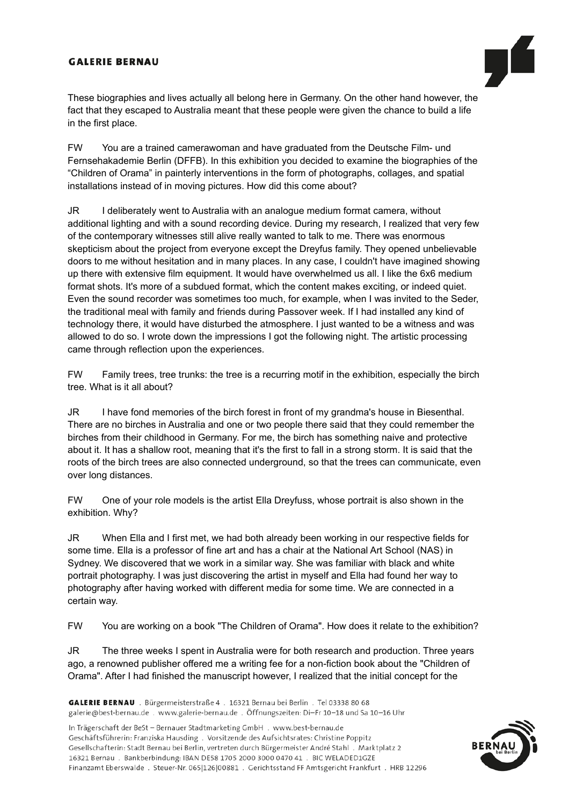# **GALERIE BERNAU**



These biographies and lives actually all belong here in Germany. On the other hand however, the fact that they escaped to Australia meant that these people were given the chance to build a life in the first place.

FW You are a trained camerawoman and have graduated from the Deutsche Film- und Fernsehakademie Berlin (DFFB). In this exhibition you decided to examine the biographies of the "Children of Orama" in painterly interventions in the form of photographs, collages, and spatial installations instead of in moving pictures. How did this come about?

JR I deliberately went to Australia with an analogue medium format camera, without additional lighting and with a sound recording device. During my research, I realized that very few of the contemporary witnesses still alive really wanted to talk to me. There was enormous skepticism about the project from everyone except the Dreyfus family. They opened unbelievable doors to me without hesitation and in many places. In any case, I couldn't have imagined showing up there with extensive film equipment. It would have overwhelmed us all. I like the 6x6 medium format shots. It's more of a subdued format, which the content makes exciting, or indeed quiet. Even the sound recorder was sometimes too much, for example, when I was invited to the Seder, the traditional meal with family and friends during Passover week. If I had installed any kind of technology there, it would have disturbed the atmosphere. I just wanted to be a witness and was allowed to do so. I wrote down the impressions I got the following night. The artistic processing came through reflection upon the experiences.

FW Family trees, tree trunks: the tree is a recurring motif in the exhibition, especially the birch tree. What is it all about?

JR I have fond memories of the birch forest in front of my grandma's house in Biesenthal. There are no birches in Australia and one or two people there said that they could remember the birches from their childhood in Germany. For me, the birch has something naive and protective about it. It has a shallow root, meaning that it's the first to fall in a strong storm. It is said that the roots of the birch trees are also connected underground, so that the trees can communicate, even over long distances.

FW One of your role models is the artist Ella Dreyfuss, whose portrait is also shown in the exhibition. Why?

JR When Ella and I first met, we had both already been working in our respective fields for some time. Ella is a professor of fine art and has a chair at the National Art School (NAS) in Sydney. We discovered that we work in a similar way. She was familiar with black and white portrait photography. I was just discovering the artist in myself and Ella had found her way to photography after having worked with different media for some time. We are connected in a certain way.

FW You are working on a book "The Children of Orama". How does it relate to the exhibition?

JR The three weeks I spent in Australia were for both research and production. Three years ago, a renowned publisher offered me a writing fee for a non-fiction book about the "Children of Orama". After I had finished the manuscript however, I realized that the initial concept for the

In Trägerschaft der BeSt - Bernauer Stadtmarketing GmbH . www.best-bernau.de Geschäftsführerin: Franziska Hausding . Vorsitzende des Aufsichtsrates: Christine Poppitz Gesellschafterin: Stadt Bernau bei Berlin, vertreten durch Bürgermeister André Stahl . Marktplatz 2 16321 Bernau . Bankberbindung: IBAN DE58 1705 2000 3000 0470 41 . BIC WELADED1GZE Finanzamt Eberswalde . Steuer-Nr. 065|126|00881 . Gerichtsstand FF Amtsgericht Frankfurt . HRB 12296